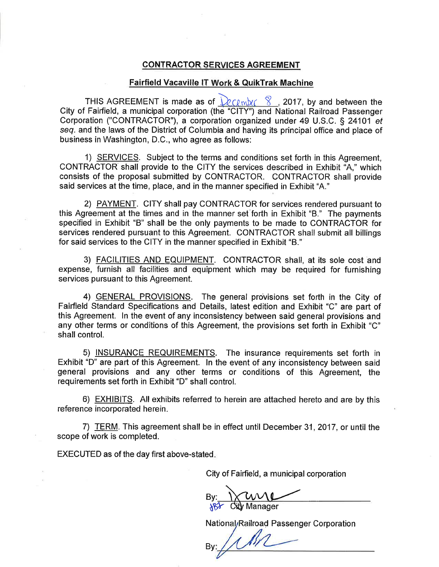### **CONTRACTOR SERVICES AGREEMENT**

### Fairfield Vacaville IT Work & QuikTrak Machine

THIS AGREEMENT is made as of  $\frac{\Omega_{\text{C}(\text{m})}}{\Omega_{\text{C}}}$ , 2017, by and between the City of Fairfield, a municipal corporation (the "ClTY") and National Railroad Passenger Corporation ("CONTRACTOR"), a corporation organized under 49 U.S.C. S 24101 et seg. and the laws of the District of Columbia and having its principal office and place of business in Washington, D.C., who agree as follows:

1) SERVICES. Subject to the terms and conditions set forth in this Agreement, CONTRACTOR shall provide to the CITY the services described in Exhibit "A," which consists of the proposal submitted by CONTRACTOR. CONTRACTOR shall provide said services at the time, place, and in the manner specified in Exhibit "A."

2) PAYMENT. CITY shall pay CONTRACTOR for services rendered pursuant to this Agreement at the times and in the manner set forth in Exhibit "B." The payments specified in Exhibit "B" shall be the only payments to be made to CONTRACTOR for services rendered pursuant to this Agreement. CONTRACTOR shall submit all billings for said services to the CITY in the manner specified in Exhibit "8."

3) FACILITIES AND EQUIPMENT. CONTRACTOR shall, at its sole cost and expense, furnish all facilities and equipment which may be required for furnishing services pursuant to this Agreement.

4) GENERAL PROVISIONS. The general provisions set forth in the City of Fairfield Standard Specifications and Details, latest edition and Exhibit "C" are part of this Agreement. ln the event of any inconsistency between said general provisions and any other terms or conditions of this Agreement, the provisions set forth in Exhibit "C" shall control.

5) INSURANCE REQUIREMENTS. The insurance requirements set forth in Exhibit "D" are part of this Agreement. ln the event of any inconsistency between said general provisions and any other terms or conditions of this Agreement, the requirements set forth in Exhibit "D" shall control.

6) EXHIBITS. All exhibits referred to herein are attached hereto and are by this reference incorporated herein.

7) TERM. This agreement shall be in effect until December 31,2017, or until the scope of work is completed.

EXECUTED as of the day first above-stated

City of Fairfield, a municipal corporation

 $By: \longrightarrow$  and City Manager

National<sub>/</sub>Railroad Passenger Corporation

By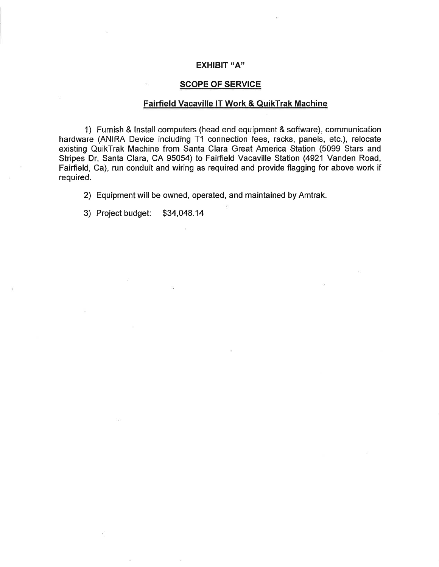## EXHIBIT "A"

### **SCOPE OF SERVICE**

## Fairfield Vacaville lT Work & QuikTrak Machine

1) Furnish & lnstall computers (head end equipment & software), communication hardware (ANIRA Device including T1 connection fees, racks, panels, etc.), relocate existing QuikTrak Machine from Santa Clara Great America Station (5099 Stars and Stripes Dr, Santa Clara, CA 95054) to Fairfield Vacaville Station (4921 Vanden Road, Fairfield, Ca), run conduit and wiring as required and provide flagging for above work if required.

2) Equipment will be owned, operated, and maintained by Amtrak.

3) Project budget: \$34,048.14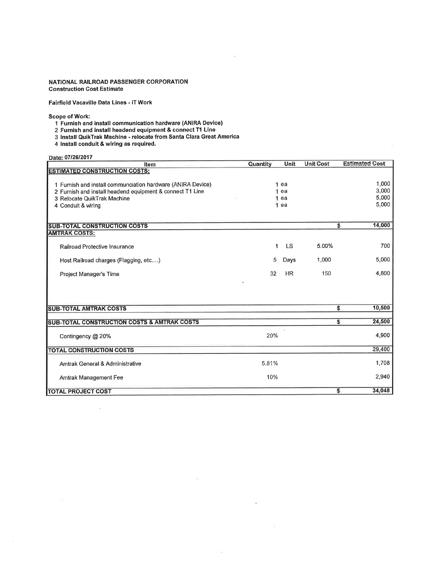#### NATIONAL RAILROAD PASSENGER CORPORATION **Construction Cost Estimate**

Fairfield Vacaville Data Lines - IT Work

Scope of Work:

- 1 Furnish and install communication hardware (ANIRA Device)
- 2 Furnish and install headend equipment & connect T1 Line
- 3 Install QuikTrak Machine relocate from Santa Clara Great America
- 4 Install conduit & wiring as required.

à.

Date: 07/26/2017

| Date: 0772072017<br>Item                                    | Quantity | Unit      | <b>Unit Cost</b> | <b>Estimated Cost</b>             |
|-------------------------------------------------------------|----------|-----------|------------------|-----------------------------------|
| <b>ESTIMATED CONSTRUCTION COSTS:</b>                        |          |           |                  |                                   |
|                                                             |          |           |                  |                                   |
| 1 Furnish and install communciation hardware (ANIRA Device) |          | ea        |                  | 1,000                             |
| 2 Furnish and install headend equipment & connect T1 Line   |          | ea        |                  | 3,000                             |
| 3 Relocate QuikTrak Machine                                 | 1<br>1   | ea<br>ea  |                  | 5,000<br>5,000                    |
| 4 Conduit & wiring                                          |          |           |                  |                                   |
|                                                             |          |           |                  |                                   |
| <b>SUB-TOTAL CONSTRUCTION COSTS</b>                         |          |           |                  | 14,000<br>$\overline{\mathbf{s}}$ |
| <b>AMTRAK COSTS:</b>                                        |          |           |                  |                                   |
|                                                             | 1        | <b>LS</b> | 5.00%            | 700                               |
| Railroad Protective Insurance                               |          |           |                  |                                   |
| Host Railroad charges (Flagging, etc)                       | 5        | Days      | 1,000            | 5,000                             |
| Project Manager's Time                                      | 32       | <b>HR</b> | 150              | 4,800                             |
|                                                             |          |           |                  |                                   |
|                                                             |          |           |                  |                                   |
|                                                             |          |           |                  |                                   |
| <b>SUB-TOTAL AMTRAK COSTS</b>                               |          |           |                  | \$<br>10,500                      |
|                                                             |          |           |                  |                                   |
| SUB-TOTAL CONSTRUCTION COSTS & AMTRAK COSTS                 |          |           |                  | 24,500<br>s                       |
|                                                             | 20%      |           |                  | 4,900                             |
| Contingency @ 20%                                           |          |           |                  |                                   |
| <b>TOTAL CONSTRUCTION COSTS</b>                             |          |           |                  | 29,400                            |
|                                                             |          |           |                  |                                   |
| Amtrak General & Administrative                             | 5.81%    |           |                  | 1,708                             |
| Amtrak Management Fee                                       | 10%      |           |                  | 2,940                             |
|                                                             |          |           |                  |                                   |
| <b>TOTAL PROJECT COST</b>                                   |          |           |                  | \$<br>34,048                      |

 $\geq$ 

 $\mathcal{D}$ 

32

 $\kappa$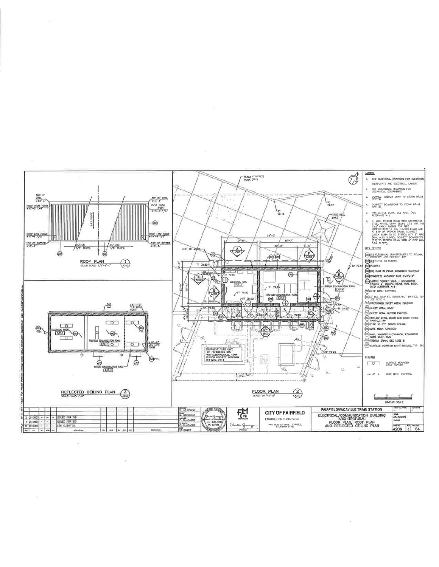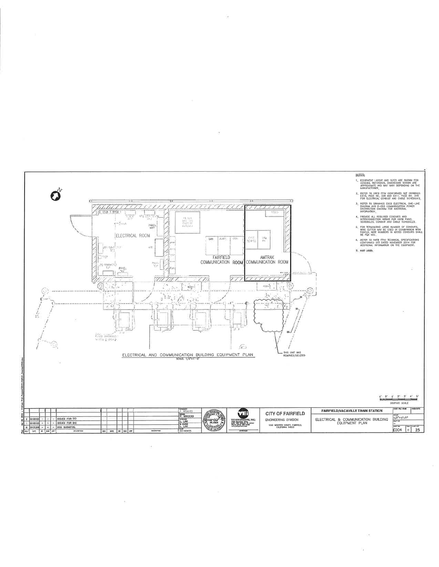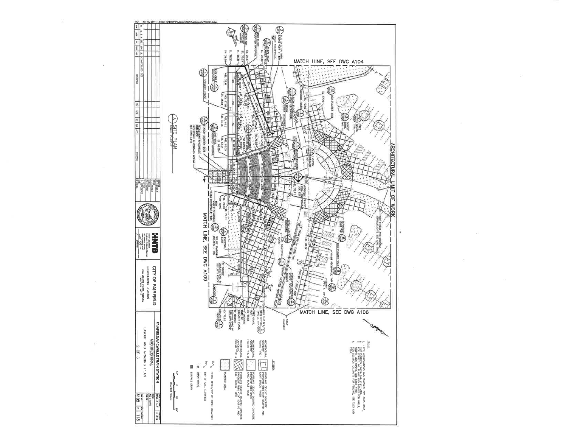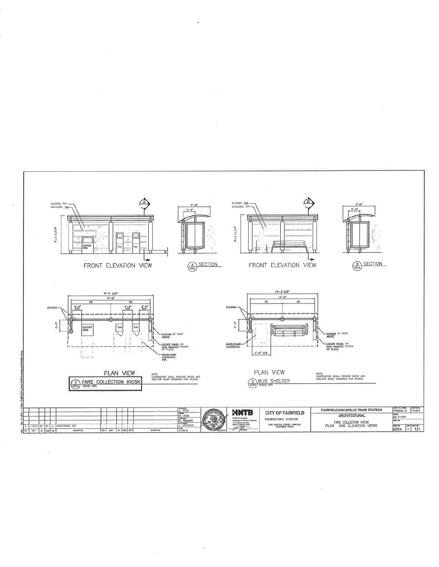

Yī.

 $\overline{\phantom{a}}$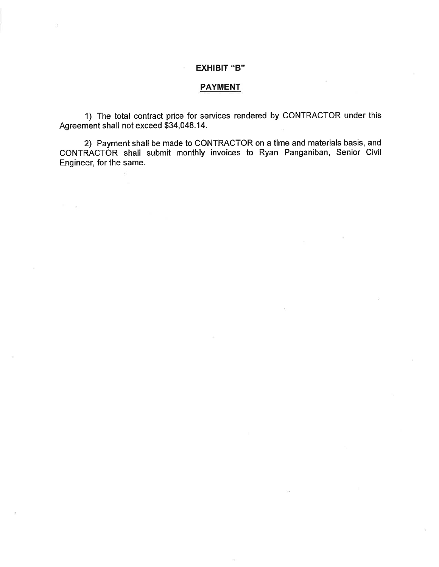## EXHIBIT "B"

## PAYMENT

1) The total contract price for services rendered by CONTRACTOR under this Agreement shall not exceed 534,048.14.

2) Payment shall be made to CONTRACTOR on a time and materials basis, and CONTRACTOR shall submit monthly invoices to Ryan Panganiban, Senior Civil Engineer, for the same.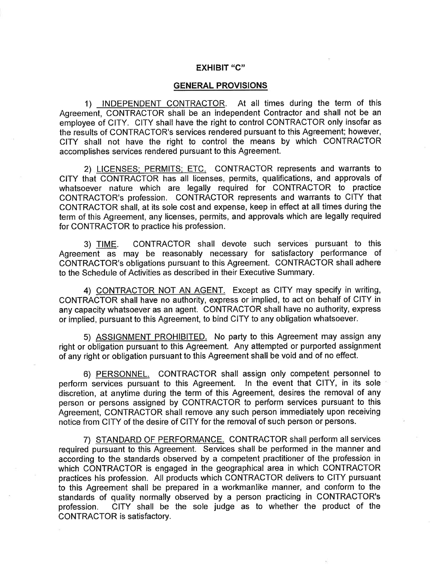# EXHIBIT "C'

### GENERAL PROVISIONS

1) INDEPENDENT CONTRACTOR. At all times during the term of this Agreement, CONTRACTOR shall be an independent Contractor and shall not be an employee of CITY. CITY shall have the right to control CONTRACTOR only insofar as the results of CONTRACTOR's services rendered pursuant to this Agreement; however, CITY shall not have the right to control the means by which CONTRACTOR accomplishes services rendered pursuant to this Agreement.

2) LICENSES: PERMITS: ETC. CONTRACTOR represents and warrants to CITY that CONTRACTOR has all licenses, permits, qualifications, and approvals of whatsoever nature which are legally required for CONTRACTOR to practice CONTRACTOR's profession. CONTRACTOR represents and warrants to CITY that CONTRACTOR shall, at its sole cost and expense, keep in effect at all times during the term of this Agreement, any licenses, permits, and approvals which are legally required for CONTRACTOR to practice his profession.

3) TIME. CONTRACTOR shall devote such services pursuant to this Agreement as may be reasonably necessary for satisfactory performance of CONTRACTOR's obligations pursuant to this Agreement. CONTRACTOR shall adhere to the Schedule of Activities as described in their Executive Summary.

4) CONTRACTOR NOT AN AGENT. Except as CITY may specify in writing, CONTRACTOR shall have no authority, express or implied, to act on behalf of CITY in any capacity whatsoever as an agent. CONTRACTOR shall have no authority, express or implied, pursuant to this Agreement, to bind CITY to any obligation whatsoever.

5) ASSIGNMENT PROHIBITED. No party to this Agreement may assign any right or obligation pursuant to this Agreement. Any attempted or purported assignment of any right or obligation pursuant to this Agreement shall be void and of no effect.

6) PERSONNEL. CONTRACTOR shall assign only competent personnel to perform services pursuant to this Agreement. ln the event that CITY, in its sole discretion, at anytime during the term of this Agreement, desires the removal of any person or persons assigned by GONTRACTOR to perform services pursuant to this Agreement, CONTRACTOR shall remove any such person immediately upon receiving notice from CITY of the desire of CITY for the removal of such person or persons.

7) STANDARD OF PERFORMANCE. CONTRACTOR shall perform all services required pursuant to this Agreement. Services shall be performed in the manner and according to the standards observed by a competent practitioner of the profession in which CONTRACTOR is engaged in the geographical area in which CONTRACTOR practices his profession. All products which CONTRACTOR delivers to CITY pursuant to this Agreement shall be prepared in a workmanlike manner, and conform to the standards of quality normally observed by a person practicing in CONTRACTOR's profession. CITY shall be the sole judge as to whether the product of the CONTRACTOR is satisfactory.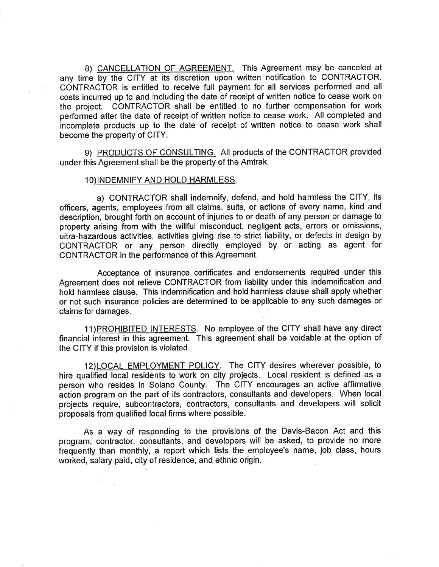8) CANCELLATION OF AGREEMENT. This Agreement may be canceled at any time by the CITY at its discretion upon written notification to CONTRACTOR. CONTRACTOR is entitled to receive full payment for all services performed and all costs incurred up to and including the date of receipt of written notice to cease work on the project. CONTRACTOR shall be entitled to no further compensation for work performed after the date of receipt of written notice to cease work. All completed and incomplete products up to the date of receipt of written notice to cease work shall become the property of CITY.

9) PRODUCTS OF CONSULTING. All products of the CONTRACTOR provided under this Agreement shall be the property of the Amtrak.

### 10)INDEMNIFY AND HOLD HARMLESS.

a) CONTRACTOR shall indemnify, defend, and hold harmless the CITY, its officers, agents, employees from all claims, suits, or actions of every name, kind and description, brought forth on account of injuries to or death of any person or damage to property arising from with the willful misconduct, negligent acts, errors or omissions, ultra-hazardous activities, activities giving rise to strict liability, or defects in design by CONTRACTOR or any person directly employed by or acting as agent for CONTRACTOR in the performance of this Agreement.

Acceptance of insurance certificates and endorsements required under this Agreement does not relieve CONTRACTOR from liability under this indemnification and hold harmless clause. This indemnification and hold harmless clause shall apply whether or not such insurance policies are determined to be applicable to any such damages or claims for damages.

11) PROHIBITED INTERESTS. No employee of the CITY shall have any direct financial interest in this agreement. This agreement shall be voidable at the option of the CITY if this provision is violated.

12)LOCAL EMPLOYMENT POLICY. The CITY desires wherever possible, to hire qualified local residents to work on city projects. Local resident is defined as <sup>a</sup> person who resides in Solano County. The CITY encourages an active affirmative action program on the part of its contractors, consultants and developers. When local projects require, subcontractors, contractors, consultants and developers will solicit proposals from qualified local firms where possible.

As a way of responding to the provisions of the Davis-Bacon Act and this program, contractor, consultants, and developers will be asked, to provide no more frequently than monthly, a report which lists the employee's name, job class, hours worked, salary paid, city of residence, and ethnic origin.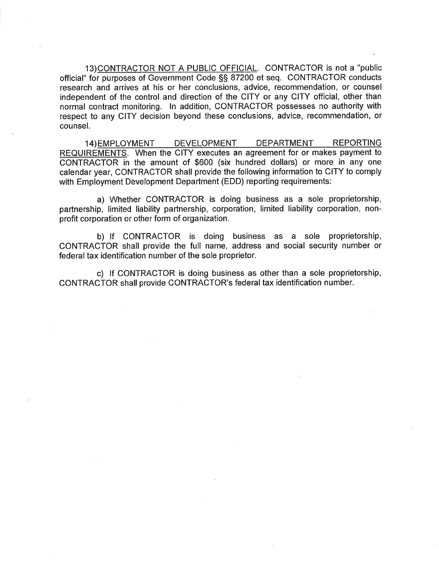13)CONTRACTOR NOT A PUBLIC OFFICIAL. CONTRACTOR is not a "public official" for purposes of Government Code SS 87200 et seq. CONTRACTOR conducts research and arrives at his or her conclusions, advice, recommendation, or counsel independent of the control and direction of the CITY or any CITY official, other than normal contract monitoring. ln addition, CONTRACTOR possesses no authority with respect to any CITY decision beyond these conclusions, advice, recommendation, or counsel.

14) EMPLOYMENT DEVELOPMENT DEPARTMENT REPORTING REQUIREMENTS. When the CITY executes an agreement for or makes payment to CONTRACTOR in the amount of \$600 (six hundred dollars) or more in any one calendar year, CONTRACTOR shall provide the following information to CITY to comply with Employment Development Department (EDD) reporting requirements:

a) Whether CONTRACTOR is doing business as a sole proprietorship, partnership, limited liability partnership, corporation, limited liability corporation, nonprofit corporation or other form of organization.

b) lf CONTRACTOR is doing business as a sole proprietorship, CONTRACTOR shall provide the full name, address and social security number or federal tax identification number of the sole proprietor.

c) lf CONTRACTOR is doing business as other than a sole proprietorship, CONTRACTOR shall provide CONTRACTOR's federal tax identification number.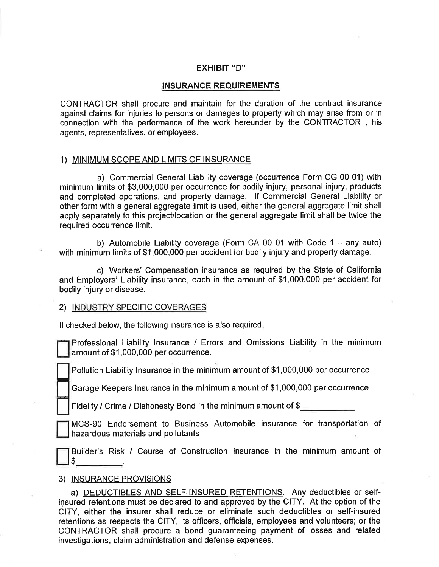## EXHIBIT "D"

### INSURANCE REQUIREMENTS

CONTRACTOR shall procure and maintain for the duration of the contract insurance against claims for injuries to persons or damages to property which may arise from or in connection with the performance of the work hereunder by the CONTRACTOR, his agents, representatives, or employees.

### 1) MINIMUM SCOPE AND LIMITS OF INSURANCE

a) Commercial General Liability coverage (occurrence Form CG 00 01) with minimum limits of \$3,000,000 per occurrence for bodily injury, personal injury, products and completed operations, and property damage. lf Commercial General Liability or other form with a general aggregate limit is used, either the general aggregate limit shall apply separately to this project/location or the general aggregate limit shall be twice the required occurrence limit.

b) Automobile Liability coverage (Form CA 00 01 with Code  $1 -$  any auto) with minimum limits of \$1,000,000 per accident for bodily injury and property damage.

c) Workers' Compensation insurance as required by the State of California and Employers' Liability insurance, each in the amount of \$1,000,000 per accident for bodily injury or disease.

## 2) <u>INDUSTRY SPECIFIC COVE</u>

lf checked below, the following insurance is also required

Professional Liability lnsurance / Errors and Omissions Liability in the minimum amount of \$1,000,000 per occurrence. t<br>T

Pollution Liability lnsurance in the minimum amount of \$1,000,000 per occurrence

Garage Keepers lnsurance in the minimum amount of \$1,000,000 per occurrence

Fidelity / Crime / Dishonesty Bond in the minimum amount of \$

MCS-90 Endorsement to Business Automobile insurance for transportation of hazardous materials and pollutants  $\overline{a}$ 

Builder's Risk / Course of Construction lnsurance in the minimum amount of  $$$ 

### 3) INSURANCE PROVISIONS

t de la provincia de la contradicación de la contradicación de la contradicación de la contradicación de la co<br>La contradicación de la contradicación de la contradicación de la contradicación de la contradicación de la co

a) DEDUCTIBLES AND SELF-INSURED RETENTIONS. Any deductibles or selfinsured retentions must be declared to and approved by the CITY. At the option of the CITY, either the insurer shall reduce or eliminate such deductibles or self-insured retentions as respects the CITY, its officers, officials, employees and volunteers; or the CONTRACTOR shall procure a bond guaranteeing payment of losses and related investigations, claim administration and defense expenses.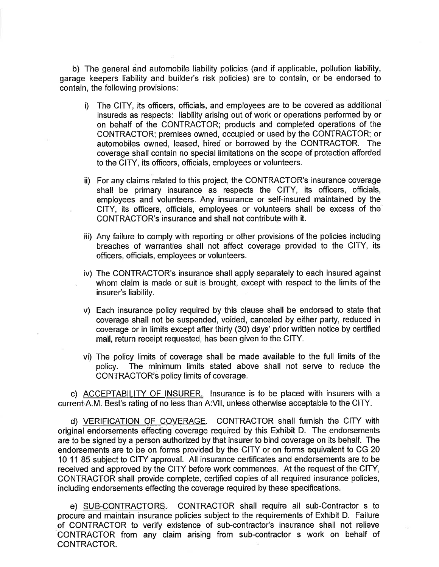b) The general and automobile liability policies (and if applicable, pollution liability, garage keepers liability and builder's risk policies) are to contain, or be endorsed to contain, the following provisions:

- i) The CITY, its officers, officials, and employees are to be covered as additional insureds as respects: liability arising out of work or operations performed by or on behalf of the CONTRACTOR; products and completed operations of the CONTRACTOR; premises owned, occupied or used by the CONTRACTOR; or automobiles owned, leased, hired or borrowed by the CONTRACTOR. The coverage shall contain no special limitations on the scope of protection afforded to the CITY, its officers, officials, employees or volunteers.
- ii) For any claims related to this project, the CONTRACTOR's insurance coverage shall be primary insurance as respects the CITY, its officers, officials, employees and volunteers. Any insurance or self-insured maintained by the CITY, its officers, officials, employees or volunteers shall be excess of the CONTRACTOR's insurance and shall not contribute with it.
- iii) Any failure to comply with reporting or other provisions of the policies including breaches of warranties shall not affect coverage provided to the CITY, its officers, officials, employees or volunteers.
- iv) The CONTRACTOR's insurance shall apply separately to each insured against whom claim is made or suit is brought, except with respect to the limits of the insurer's liability.
- v) Each insurance policy required by this clause shall be endorsed to state that coverage shall not be suspended, voided, canceled by either party, reduced in coverage or in limits except after thirty (30) days' prior written notice by certified mail, return receipt requested, has been given to the CITY.
- vi) The policy limits of coverage shall be made available to the full limits of the policy. The minimum limits stated above shall not serve to reduce the CONTRACTOR's policy limits of coverage.

c) ACCEPTABILITY OF INSURER. lnsurance is to be placed with insurers with <sup>a</sup> current A.M. Best's rating of no less than A:VII, unless otherwise acceptable to the CITY.

d) VERIFICATION OF COVERAGE. CONTRACTOR shall furnish the CITY with original endorsements effecting coverage required by this Exhibit D. The endorsements are to be signed by a person authorized by that insurer to bind coverage on its behalf. The endorsements are to be on forms provided by the CITY or on forms equivalent to CG 20 10 11 85 subject to CITY approval. All insurance certificates and endorsements are to be received and approved by the CITY before work commences. At the request of the CITY, CONTRACTOR shall provide complete, certified copies of all required insurance policies, including endorsements effecting the coverage required by these specifications.

e) SUB-CONTRACTORS. CONTRACTOR shall require all sub-Contractor s to procure and maintain insurance policies subject to the requirements of Exhibit D. Failure of CONTRACTOR to verify existence of sub-contractor's insurance shall not relieve CONTRACTOR from any claim arising from sub-contractor s work on behalf of CONTRACTOR.